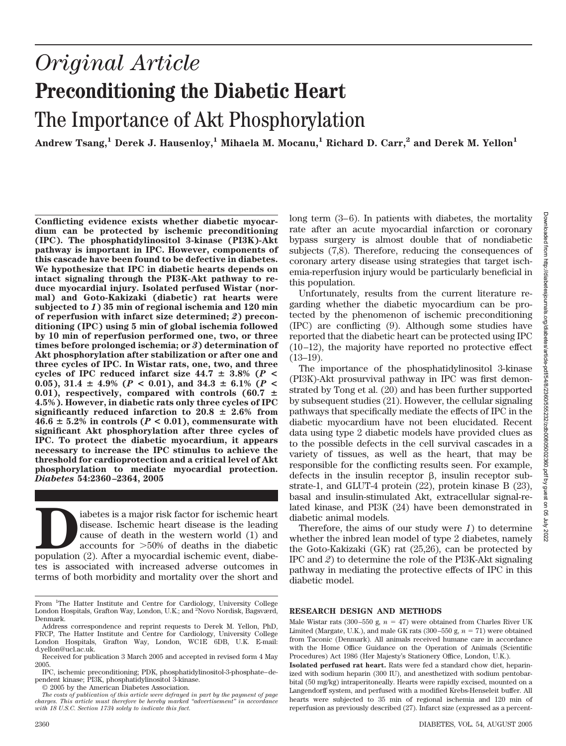# *Original Article* **Preconditioning the Diabetic Heart** The Importance of Akt Phosphorylation

Andrew Tsang,<sup>1</sup> Derek J. Hausenloy,<sup>1</sup> Mihaela M. Mocanu,<sup>1</sup> Richard D. Carr,<sup>2</sup> and Derek M. Yellon<sup>1</sup>

**Conflicting evidence exists whether diabetic myocardium can be protected by ischemic preconditioning (IPC). The phosphatidylinositol 3-kinase (PI3K)-Akt pathway is important in IPC. However, components of this cascade have been found to be defective in diabetes. We hypothesize that IPC in diabetic hearts depends on intact signaling through the PI3K-Akt pathway to reduce myocardial injury. Isolated perfused Wistar (normal) and Goto-Kakizaki (diabetic) rat hearts were subjected to** *1***) 35 min of regional ischemia and 120 min of reperfusion with infarct size determined;** *2***) preconditioning (IPC) using 5 min of global ischemia followed by 10 min of reperfusion performed one, two, or three times before prolonged ischemia; or** *3***) determination of Akt phosphorylation after stabilization or after one and three cycles of IPC. In Wistar rats, one, two, and three** cycles of IPC reduced infarct size  $44.7 \pm 3.8\%$  ( $P \le$ 0.05), 31.4  $\pm$  4.9% ( $P < 0.01$ ), and 34.3  $\pm$  6.1% ( $P <$ 0.01), respectively, compared with controls  $(60.7 \pm$ **4.5%). However, in diabetic rats only three cycles of IPC significantly reduced infarction to 20.8**  $\pm$  2.6% from  $46.6 \pm 5.2\%$  in controls ( $P < 0.01$ ), commensurate with **significant Akt phosphorylation after three cycles of IPC. To protect the diabetic myocardium, it appears necessary to increase the IPC stimulus to achieve the threshold for cardioprotection and a critical level of Akt phosphorylation to mediate myocardial protection.** *Diabetes* **54:2360 –2364, 2005**

iabetes is a major risk factor for ischemic heart disease. Ischemic heart disease is the leading cause of death in the western world (1) and accounts for  $>50\%$  of deaths in the diabetic population (2). After a myocardial disease. Ischemic heart disease is the leading cause of death in the western world (1) and accounts for  $>50\%$  of deaths in the diabetic tes is associated with increased adverse outcomes in terms of both morbidity and mortality over the short and

long term (3–6). In patients with diabetes, the mortality rate after an acute myocardial infarction or coronary bypass surgery is almost double that of nondiabetic subjects (7,8). Therefore, reducing the consequences of coronary artery disease using strategies that target ischemia-reperfusion injury would be particularly beneficial in this population.

Unfortunately, results from the current literature regarding whether the diabetic myocardium can be protected by the phenomenon of ischemic preconditioning (IPC) are conflicting (9). Although some studies have reported that the diabetic heart can be protected using IPC (10–12), the majority have reported no protective effect (13–19).

The importance of the phosphatidylinositol 3-kinase (PI3K)-Akt prosurvival pathway in IPC was first demonstrated by Tong et al. (20) and has been further supported by subsequent studies (21). However, the cellular signaling pathways that specifically mediate the effects of IPC in the diabetic myocardium have not been elucidated. Recent data using type 2 diabetic models have provided clues as to the possible defects in the cell survival cascades in a variety of tissues, as well as the heart, that may be responsible for the conflicting results seen. For example, defects in the insulin receptor  $\beta$ , insulin receptor substrate-1, and GLUT-4 protein (22), protein kinase B (23), basal and insulin-stimulated Akt, extracellular signal-related kinase, and PI3K (24) have been demonstrated in diabetic animal models.

Therefore, the aims of our study were *1*) to determine whether the inbred lean model of type 2 diabetes, namely the Goto-Kakizaki (GK) rat (25,26), can be protected by IPC and *2*) to determine the role of the PI3K-Akt signaling pathway in mediating the protective effects of IPC in this diabetic model.

## **RESEARCH DESIGN AND METHODS**

From <sup>1</sup>The Hatter Institute and Centre for Cardiology, University College London Hospitals, Grafton Way, London, U.K.; and <sup>2</sup>Novo Nordisk, Bagsværd, Denmark.

Address correspondence and reprint requests to Derek M. Yellon, PhD, FRCP, The Hatter Institute and Centre for Cardiology, University College London Hospitals, Grafton Way, London, WC1E 6DB, U.K. E-mail: Grafton Way, London, WC1E 6DB, U.K. E-mail: d.yellon@ucl.ac.uk.

Received for publication 3 March 2005 and accepted in revised form 4 May 2005.

IPC, ischemic preconditioning; PDK, phosphatidylinositol-3-phosphate–dependent kinase; PI3K, phosphatidylinositol 3-kinase.

<sup>© 2005</sup> by the American Diabetes Association.

*The costs of publication of this article were defrayed in part by the payment of page charges. This article must therefore be hereby marked "advertisement" in accordance with 18 U.S.C. Section 1734 solely to indicate this fact.*

Male Wistar rats (300–550 g,  $n = 47$ ) were obtained from Charles River UK Limited (Margate, U.K.), and male GK rats  $(300-550 \text{ g}, n = 71)$  were obtained from Taconic (Denmark). All animals received humane care in accordance with the Home Office Guidance on the Operation of Animals (Scientific Procedures) Act 1986 (Her Majesty's Stationery Office, London, U.K.).

**Isolated perfused rat heart.** Rats were fed a standard chow diet, heparinized with sodium heparin (300 IU), and anesthetized with sodium pentobarbital (50 mg/kg) intraperitoneally. Hearts were rapidly excised, mounted on a Langendorff system, and perfused with a modified Krebs-Henseleit buffer. All hearts were subjected to 35 min of regional ischemia and 120 min of reperfusion as previously described (27). Infarct size (expressed as a percent-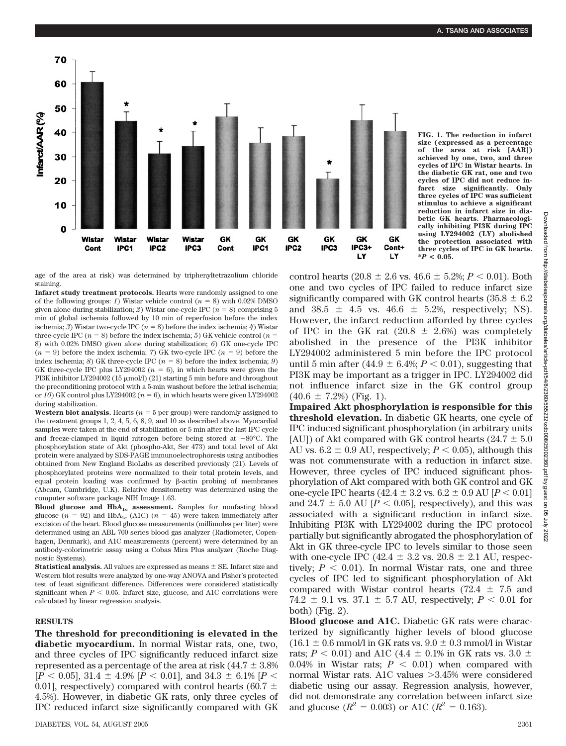

**FIG. 1. The reduction in infarct size (expressed as a percentage of the area at risk [AAR]) achieved by one, two, and three cycles of IPC in Wistar hearts. In the diabetic GK rat, one and two cycles of IPC did not reduce infarct size significantly. Only three cycles of IPC was sufficient stimulus to achieve a significant reduction in infarct size in diabetic GK hearts. Pharmacologically inhibiting PI3K during IPC using LY294002 (LY) abolished the protection associated with three cycles of IPC in GK hearts. \****P* **< 0.05.**

age of the area at risk) was determined by triphenyltetrazolium chloride staining.

**Infarct study treatment protocols.** Hearts were randomly assigned to one of the following groups: *1*) Wistar vehicle control ( $n = 8$ ) with 0.02% DMSO given alone during stabilization;  $2$ ) Wistar one-cycle IPC ( $n = 8$ ) comprising 5 min of global ischemia followed by 10 min of reperfusion before the index ischemia; *3*) Wistar two-cycle IPC  $(n = 8)$  before the index ischemia; *4*) Wistar three-cycle IPC  $(n = 8)$  before the index ischemia; 5) GK vehicle control  $(n = 1)$ 8) with 0.02% DMSO given alone during stabilization; *6*) GK one-cycle IPC  $(n = 9)$  before the index ischemia; *7*) GK two-cycle IPC  $(n = 9)$  before the index ischemia; *8*) GK three-cycle IPC ( $n = 8$ ) before the index ischemia; *9*) GK three-cycle IPC plus LY294002 ( $n = 6$ ), in which hearts were given the PI3K inhibitor LY294002 (15 µmol/l) (21) starting 5 min before and throughout the preconditioning protocol with a 5-min washout before the lethal ischemia; or  $10$ ) GK control plus LY294002 ( $n = 6$ ), in which hearts were given LY294002 during stabilization.

**Western blot analysis.** Hearts ( $n = 5$  per group) were randomly assigned to the treatment groups 1, 2, 4, 5, 6, 8, 9, and 10 as described above. Myocardial samples were taken at the end of stabilization or 5 min after the last IPC cycle and freeze-clamped in liquid nitrogen before being stored at  $-80^{\circ}$ C. The phosphorylation state of Akt (phospho-Akt, Ser 473) and total level of Akt protein were analyzed by SDS-PAGE immunoelectrophoresis using antibodies obtained from New England BioLabs as described previously (21). Levels of phosphorylated proteins were normalized to their total protein levels, and equal protein loading was confirmed by  $\beta$ -actin probing of membranes (Abcam, Cambridge, U.K). Relative densitometry was determined using the computer software package NIH Image 1.63.

**Blood glucose and HbA<sub>1c</sub> assessment.** Samples for nonfasting blood glucose ( $n = 92$ ) and HbA<sub>1c</sub> (A1C) ( $n = 45$ ) were taken immediately after excision of the heart. Blood glucose measurements (millimoles per liter) were determined using an ABL 700 series blood gas analyzer (Radiometer, Copenhagen, Denmark), and A1C measurements (percent) were determined by an antibody-colorimetric assay using a Cobas Mira Plus analyzer (Roche Diagnostic Systems).

**Statistical analysis.** All values are expressed as means  $\pm$  SE. Infarct size and Western blot results were analyzed by one-way ANOVA and Fisher's protected test of least significant difference. Differences were considered statistically significant when  $P < 0.05$ . Infarct size, glucose, and A1C correlations were calculated by linear regression analysis.

## **RESULTS**

**The threshold for preconditioning is elevated in the diabetic myocardium.** In normal Wistar rats, one, two, and three cycles of IPC significantly reduced infarct size represented as a percentage of the area at risk  $(44.7 \pm 3.8\%)$  $[P < 0.05]$ , 31.4  $\pm$  4.9%  $[P < 0.01]$ , and 34.3  $\pm$  6.1%  $[P <$ 0.01], respectively) compared with control hearts (60.7  $\pm$ 4.5%). However, in diabetic GK rats, only three cycles of IPC reduced infarct size significantly compared with GK control hearts (20.8  $\pm$  2.6 vs. 46.6  $\pm$  5.2%; *P* < 0.01). Both one and two cycles of IPC failed to reduce infarct size significantly compared with GK control hearts (35.8  $\pm$  6.2 and  $38.5 \pm 4.5$  vs.  $46.6 \pm 5.2$ %, respectively; NS). However, the infarct reduction afforded by three cycles of IPC in the GK rat  $(20.8 \pm 2.6%)$  was completely abolished in the presence of the PI3K inhibitor LY294002 administered 5 min before the IPC protocol until 5 min after  $(44.9 \pm 6.4\%; P < 0.01)$ , suggesting that PI3K may be important as a trigger in IPC. LY294002 did not influence infarct size in the GK control group  $(40.6 \pm 7.2\%)$  (Fig. 1).

**Impaired Akt phosphorylation is responsible for this threshold elevation.** In diabetic GK hearts, one cycle of IPC induced significant phosphorylation (in arbitrary units [AU]) of Akt compared with GK control hearts ( $24.7 \pm 5.0$ AU vs.  $6.2 \pm 0.9$  AU, respectively;  $P < 0.05$ ), although this was not commensurate with a reduction in infarct size. However, three cycles of IPC induced significant phosphorylation of Akt compared with both GK control and GK one-cycle IPC hearts ( $42.4 \pm 3.2$  vs.  $6.2 \pm 0.9$  AU [ $P < 0.01$ ] and 24.7  $\pm$  5.0 AU [*P*  $\lt$  0.05], respectively), and this was associated with a significant reduction in infarct size. Inhibiting PI3K with LY294002 during the IPC protocol partially but significantly abrogated the phosphorylation of Akt in GK three-cycle IPC to levels similar to those seen with one-cycle IPC (42.4  $\pm$  3.2 vs. 20.8  $\pm$  2.1 AU, respectively;  $P < 0.01$ ). In normal Wistar rats, one and three cycles of IPC led to significant phosphorylation of Akt compared with Wistar control hearts (72.4  $\pm$  7.5 and 74.2  $\pm$  9.1 vs. 37.1  $\pm$  5.7 AU, respectively; *P* < 0.01 for both) (Fig. 2).

**Blood glucose and A1C.** Diabetic GK rats were characterized by significantly higher levels of blood glucose  $(16.1 \pm 0.6 \text{ mmol/l} \text{ in GK rats vs. } 9.0 \pm 0.3 \text{ mmol/l} \text{ in Wistar}$ rats;  $P < 0.01$ ) and A1C (4.4  $\pm$  0.1% in GK rats vs. 3.0  $\pm$ 0.04% in Wistar rats;  $P < 0.01$ ) when compared with normal Wistar rats. A1C values 3.45% were considered diabetic using our assay. Regression analysis, however, did not demonstrate any correlation between infarct size and glucose  $(R^2 = 0.003)$  or A1C  $(R^2 = 0.163)$ .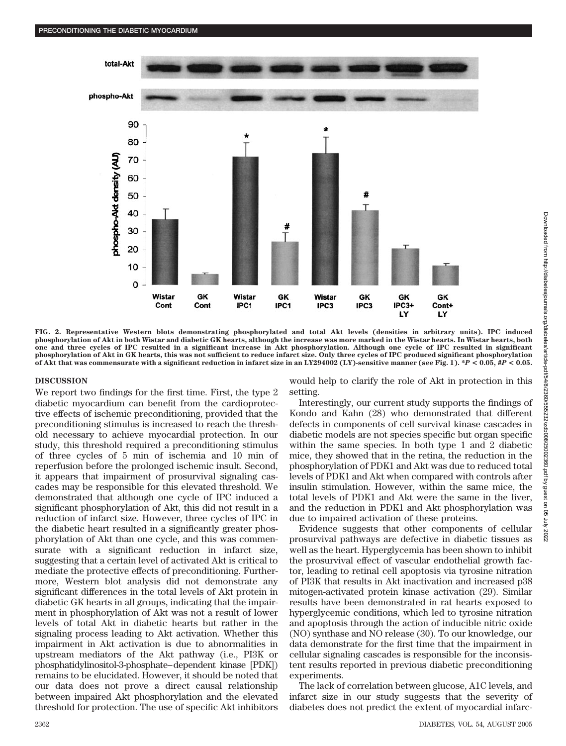

**FIG. 2. Representative Western blots demonstrating phosphorylated and total Akt levels (densities in arbitrary units). IPC induced phosphorylation of Akt in both Wistar and diabetic GK hearts, although the increase was more marked in the Wistar hearts. In Wistar hearts, both one and three cycles of IPC resulted in a significant increase in Akt phosphorylation. Although one cycle of IPC resulted in significant phosphorylation of Akt in GK hearts, this was not sufficient to reduce infarct size. Only three cycles of IPC produced significant phosphorylation of Akt that was commensurate with a significant reduction in infarct size in an LY294002 (LY)-sensitive manner (see Fig. 1). \****P* **< 0.05, #***P* **< 0.05.**

## **DISCUSSION**

We report two findings for the first time. First, the type 2 diabetic myocardium can benefit from the cardioprotective effects of ischemic preconditioning, provided that the preconditioning stimulus is increased to reach the threshold necessary to achieve myocardial protection. In our study, this threshold required a preconditioning stimulus of three cycles of 5 min of ischemia and 10 min of reperfusion before the prolonged ischemic insult. Second, it appears that impairment of prosurvival signaling cascades may be responsible for this elevated threshold. We demonstrated that although one cycle of IPC induced a significant phosphorylation of Akt, this did not result in a reduction of infarct size. However, three cycles of IPC in the diabetic heart resulted in a significantly greater phosphorylation of Akt than one cycle, and this was commensurate with a significant reduction in infarct size, suggesting that a certain level of activated Akt is critical to mediate the protective effects of preconditioning. Furthermore, Western blot analysis did not demonstrate any significant differences in the total levels of Akt protein in diabetic GK hearts in all groups, indicating that the impairment in phosphorylation of Akt was not a result of lower levels of total Akt in diabetic hearts but rather in the signaling process leading to Akt activation. Whether this impairment in Akt activation is due to abnormalities in upstream mediators of the Akt pathway (i.e., PI3K or phosphatidylinositol-3-phosphate–dependent kinase [PDK]) remains to be elucidated. However, it should be noted that our data does not prove a direct causal relationship between impaired Akt phosphorylation and the elevated threshold for protection. The use of specific Akt inhibitors would help to clarify the role of Akt in protection in this setting.

Interestingly, our current study supports the findings of Kondo and Kahn (28) who demonstrated that different defects in components of cell survival kinase cascades in diabetic models are not species specific but organ specific within the same species. In both type 1 and 2 diabetic mice, they showed that in the retina, the reduction in the phosphorylation of PDK1 and Akt was due to reduced total levels of PDK1 and Akt when compared with controls after insulin stimulation. However, within the same mice, the total levels of PDK1 and Akt were the same in the liver, and the reduction in PDK1 and Akt phosphorylation was due to impaired activation of these proteins.

Evidence suggests that other components of cellular prosurvival pathways are defective in diabetic tissues as well as the heart. Hyperglycemia has been shown to inhibit the prosurvival effect of vascular endothelial growth factor, leading to retinal cell apoptosis via tyrosine nitration of PI3K that results in Akt inactivation and increased p38 mitogen-activated protein kinase activation (29). Similar results have been demonstrated in rat hearts exposed to hyperglycemic conditions, which led to tyrosine nitration and apoptosis through the action of inducible nitric oxide (NO) synthase and NO release (30). To our knowledge, our data demonstrate for the first time that the impairment in cellular signaling cascades is responsible for the inconsistent results reported in previous diabetic preconditioning experiments.

The lack of correlation between glucose, A1C levels, and infarct size in our study suggests that the severity of diabetes does not predict the extent of myocardial infarc-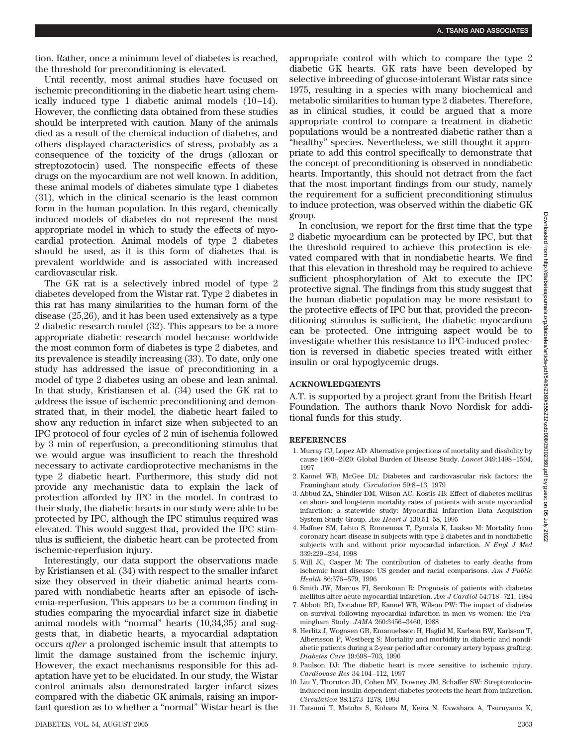tion. Rather, once a minimum level of diabetes is reached, the threshold for preconditioning is elevated.

Until recently, most animal studies have focused on ischemic preconditioning in the diabetic heart using chemically induced type 1 diabetic animal models (10–14). However, the conflicting data obtained from these studies should be interpreted with caution. Many of the animals died as a result of the chemical induction of diabetes, and others displayed characteristics of stress, probably as a consequence of the toxicity of the drugs (alloxan or streptozotocin) used. The nonspecific effects of these drugs on the myocardium are not well known. In addition, these animal models of diabetes simulate type 1 diabetes (31), which in the clinical scenario is the least common form in the human population. In this regard, chemically induced models of diabetes do not represent the most appropriate model in which to study the effects of myocardial protection. Animal models of type 2 diabetes should be used, as it is this form of diabetes that is prevalent worldwide and is associated with increased cardiovascular risk.

The GK rat is a selectively inbred model of type 2 diabetes developed from the Wistar rat. Type 2 diabetes in this rat has many similarities to the human form of the disease (25,26), and it has been used extensively as a type 2 diabetic research model (32). This appears to be a more appropriate diabetic research model because worldwide the most common form of diabetes is type 2 diabetes, and its prevalence is steadily increasing (33). To date, only one study has addressed the issue of preconditioning in a model of type 2 diabetes using an obese and lean animal. In that study, Kristiansen et al. (34) used the GK rat to address the issue of ischemic preconditioning and demonstrated that, in their model, the diabetic heart failed to show any reduction in infarct size when subjected to an IPC protocol of four cycles of 2 min of ischemia followed by 3 min of reperfusion, a preconditioning stimulus that we would argue was insufficient to reach the threshold necessary to activate cardioprotective mechanisms in the type 2 diabetic heart. Furthermore, this study did not provide any mechanistic data to explain the lack of protection afforded by IPC in the model. In contrast to their study, the diabetic hearts in our study were able to be protected by IPC, although the IPC stimulus required was elevated. This would suggest that, provided the IPC stimulus is sufficient, the diabetic heart can be protected from ischemic-reperfusion injury.

Interestingly, our data support the observations made by Kristiansen et al. (34) with respect to the smaller infarct size they observed in their diabetic animal hearts compared with nondiabetic hearts after an episode of ischemia-reperfusion. This appears to be a common finding in studies comparing the myocardial infarct size in diabetic animal models with "normal" hearts (10,34,35) and suggests that, in diabetic hearts, a myocardial adaptation occurs *after* a prolonged ischemic insult that attempts to limit the damage sustained from the ischemic injury. However, the exact mechanisms responsible for this adaptation have yet to be elucidated. In our study, the Wistar control animals also demonstrated larger infarct sizes compared with the diabetic GK animals, raising an important question as to whether a "normal" Wistar heart is the

appropriate control with which to compare the type 2 diabetic GK hearts. GK rats have been developed by selective inbreeding of glucose-intolerant Wistar rats since 1975, resulting in a species with many biochemical and metabolic similarities to human type 2 diabetes. Therefore, as in clinical studies, it could be argued that a more appropriate control to compare a treatment in diabetic populations would be a nontreated diabetic rather than a "healthy" species. Nevertheless, we still thought it appropriate to add this control specifically to demonstrate that the concept of preconditioning is observed in nondiabetic hearts. Importantly, this should not detract from the fact that the most important findings from our study, namely the requirement for a sufficient preconditioning stimulus to induce protection, was observed within the diabetic GK group.

In conclusion, we report for the first time that the type 2 diabetic myocardium can be protected by IPC, but that the threshold required to achieve this protection is elevated compared with that in nondiabetic hearts. We find that this elevation in threshold may be required to achieve sufficient phosphorylation of Akt to execute the IPC protective signal. The findings from this study suggest that the human diabetic population may be more resistant to the protective effects of IPC but that, provided the preconditioning stimulus is sufficient, the diabetic myocardium can be protected. One intriguing aspect would be to investigate whether this resistance to IPC-induced protection is reversed in diabetic species treated with either insulin or oral hypoglycemic drugs.

# **ACKNOWLEDGMENTS**

A.T. is supported by a project grant from the British Heart Foundation. The authors thank Novo Nordisk for additional funds for this study.

## **REFERENCES**

- 1. Murray CJ, Lopez AD: Alternative projections of mortality and disability by cause 1990–2020: Global Burden of Disease Study. *Lancet* 349:1498–1504, 1997
- 2. Kannel WB, McGee DL: Diabetes and cardiovascular risk factors: the Framingham study. *Circulation* 59:8–13, 1979
- 3. Abbud ZA, Shindler DM, Wilson AC, Kostis JB: Effect of diabetes mellitus on short- and long-term mortality rates of patients with acute myocardial infarction: a statewide study: Myocardial Infarction Data Acquisition System Study Group. *Am Heart J* 130:51–58, 1995
- 4. Haffner SM, Lehto S, Ronnemaa T, Pyorala K, Laakso M: Mortality from coronary heart disease in subjects with type 2 diabetes and in nondiabetic subjects with and without prior myocardial infarction. *N Engl J Med* 339:229–234, 1998
- 5. Will JC, Casper M: The contribution of diabetes to early deaths from ischemic heart disease: US gender and racial comparisons. *Am J Public Health* 86:576–579, 1996
- 6. Smith JW, Marcus FI, Serokman R: Prognosis of patients with diabetes mellitus after acute myocardial infarction. *Am J Cardiol* 54:718–721, 1984
- 7. Abbott RD, Donahue RP, Kannel WB, Wilson PW: The impact of diabetes on survival following myocardial infarction in men vs women: the Framingham Study. *JAMA* 260:3456–3460, 1988
- 8. Herlitz J, Wognsen GB, Emanuelsson H, Haglid M, Karlson BW, Karlsson T, Albertsson P, Westberg S: Mortality and morbidity in diabetic and nondiabetic patients during a 2-year period after coronary artery bypass grafting. *Diabetes Care* 19:698–703, 1996
- 9. Paulson DJ: The diabetic heart is more sensitive to ischemic injury. *Cardiovasc Res* 34:104–112, 1997
- 10. Liu Y, Thornton JD, Cohen MV, Downey JM, Schaffer SW: Streptozotocininduced non-insulin-dependent diabetes protects the heart from infarction. *Circulation* 88:1273–1278, 1993
- 11. Tatsumi T, Matoba S, Kobara M, Keira N, Kawahara A, Tsuruyama K,